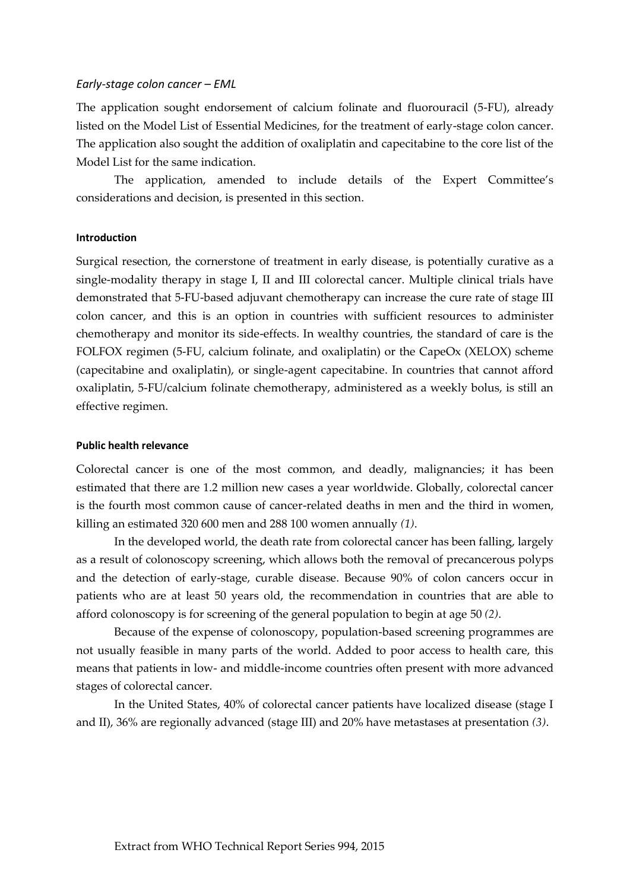#### *Early-stage colon cancer – EML*

The application sought endorsement of calcium folinate and fluorouracil (5-FU), already listed on the Model List of Essential Medicines, for the treatment of early-stage colon cancer. The application also sought the addition of oxaliplatin and capecitabine to the core list of the Model List for the same indication.

The application, amended to include details of the Expert Committee's considerations and decision, is presented in this section.

#### **Introduction**

Surgical resection, the cornerstone of treatment in early disease, is potentially curative as a single-modality therapy in stage I, II and III colorectal cancer. Multiple clinical trials have demonstrated that 5-FU-based adjuvant chemotherapy can increase the cure rate of stage III colon cancer, and this is an option in countries with sufficient resources to administer chemotherapy and monitor its side-effects. In wealthy countries, the standard of care is the FOLFOX regimen (5-FU, calcium folinate, and oxaliplatin) or the CapeOx (XELOX) scheme (capecitabine and oxaliplatin), or single-agent capecitabine. In countries that cannot afford oxaliplatin, 5-FU/calcium folinate chemotherapy, administered as a weekly bolus, is still an effective regimen.

#### **Public health relevance**

Colorectal cancer is one of the most common, and deadly, malignancies; it has been estimated that there are 1.2 million new cases a year worldwide. Globally, colorectal cancer is the fourth most common cause of cancer-related deaths in men and the third in women, killing an estimated 320 600 men and 288 100 women annually *(1)*.

In the developed world, the death rate from colorectal cancer has been falling, largely as a result of colonoscopy screening, which allows both the removal of precancerous polyps and the detection of early-stage, curable disease. Because 90% of colon cancers occur in patients who are at least 50 years old, the recommendation in countries that are able to afford colonoscopy is for screening of the general population to begin at age 50 *(2)*.

Because of the expense of colonoscopy, population-based screening programmes are not usually feasible in many parts of the world. Added to poor access to health care, this means that patients in low- and middle-income countries often present with more advanced stages of colorectal cancer.

In the United States, 40% of colorectal cancer patients have localized disease (stage I and II), 36% are regionally advanced (stage III) and 20% have metastases at presentation *(3)*.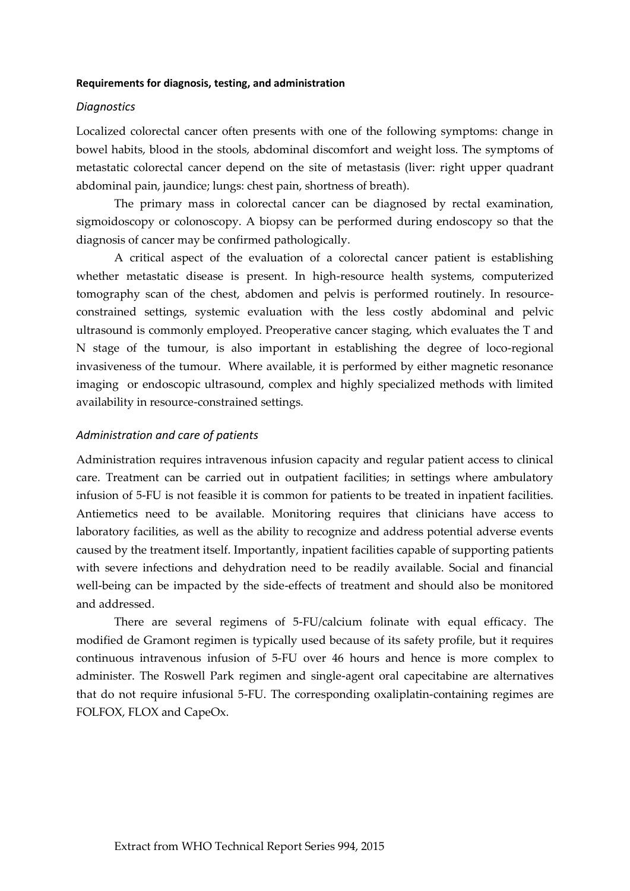#### **Requirements for diagnosis, testing, and administration**

#### *Diagnostics*

Localized colorectal cancer often presents with one of the following symptoms: change in bowel habits, blood in the stools, abdominal discomfort and weight loss. The symptoms of metastatic colorectal cancer depend on the site of metastasis (liver: right upper quadrant abdominal pain, jaundice; lungs: chest pain, shortness of breath).

The primary mass in colorectal cancer can be diagnosed by rectal examination, sigmoidoscopy or colonoscopy. A biopsy can be performed during endoscopy so that the diagnosis of cancer may be confirmed pathologically.

A critical aspect of the evaluation of a colorectal cancer patient is establishing whether metastatic disease is present. In high-resource health systems, computerized tomography scan of the chest, abdomen and pelvis is performed routinely. In resourceconstrained settings, systemic evaluation with the less costly abdominal and pelvic ultrasound is commonly employed. Preoperative cancer staging, which evaluates the T and N stage of the tumour, is also important in establishing the degree of loco-regional invasiveness of the tumour. Where available, it is performed by either magnetic resonance imaging or endoscopic ultrasound, complex and highly specialized methods with limited availability in resource-constrained settings.

### *Administration and care of patients*

Administration requires intravenous infusion capacity and regular patient access to clinical care. Treatment can be carried out in outpatient facilities; in settings where ambulatory infusion of 5-FU is not feasible it is common for patients to be treated in inpatient facilities. Antiemetics need to be available. Monitoring requires that clinicians have access to laboratory facilities, as well as the ability to recognize and address potential adverse events caused by the treatment itself. Importantly, inpatient facilities capable of supporting patients with severe infections and dehydration need to be readily available. Social and financial well-being can be impacted by the side-effects of treatment and should also be monitored and addressed.

There are several regimens of 5-FU/calcium folinate with equal efficacy. The modified de Gramont regimen is typically used because of its safety profile, but it requires continuous intravenous infusion of 5-FU over 46 hours and hence is more complex to administer. The Roswell Park regimen and single-agent oral capecitabine are alternatives that do not require infusional 5-FU. The corresponding oxaliplatin-containing regimes are FOLFOX, FLOX and CapeOx.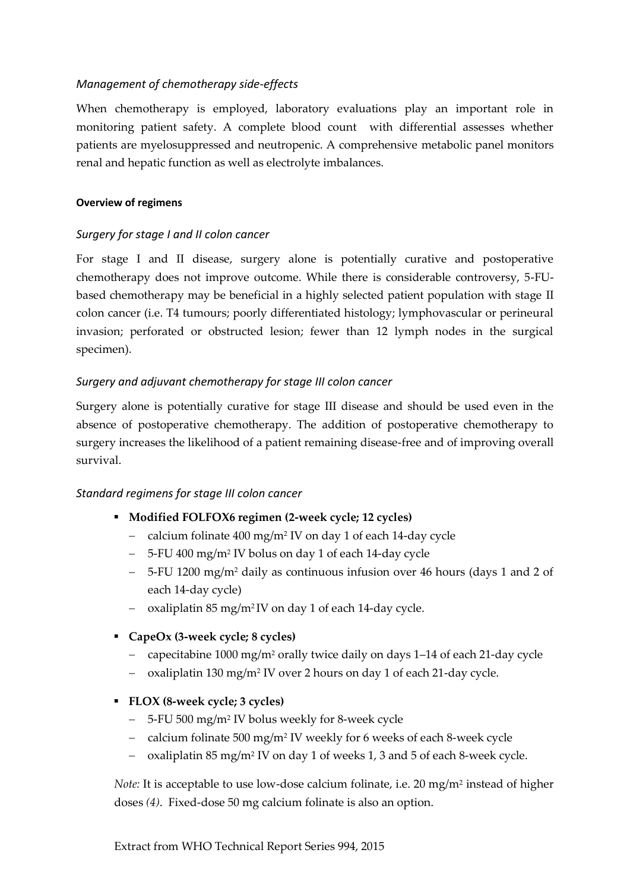## *Management of chemotherapy side-effects*

When chemotherapy is employed, laboratory evaluations play an important role in monitoring patient safety. A complete blood count with differential assesses whether patients are myelosuppressed and neutropenic. A comprehensive metabolic panel monitors renal and hepatic function as well as electrolyte imbalances.

## **Overview of regimens**

# *Surgery for stage I and II colon cancer*

For stage I and II disease, surgery alone is potentially curative and postoperative chemotherapy does not improve outcome. While there is considerable controversy, 5-FUbased chemotherapy may be beneficial in a highly selected patient population with stage II colon cancer (i.e. T4 tumours; poorly differentiated histology; lymphovascular or perineural invasion; perforated or obstructed lesion; fewer than 12 lymph nodes in the surgical specimen).

# *Surgery and adjuvant chemotherapy for stage III colon cancer*

Surgery alone is potentially curative for stage III disease and should be used even in the absence of postoperative chemotherapy. The addition of postoperative chemotherapy to surgery increases the likelihood of a patient remaining disease-free and of improving overall survival.

## *Standard regimens for stage III colon cancer*

- **Modified FOLFOX6 regimen (2-week cycle; 12 cycles)**
	- calcium folinate 400 mg/m<sup>2</sup> IV on day 1 of each 14-day cycle
	- 5-FU 400 mg/m<sup>2</sup> IV bolus on day 1 of each 14-day cycle
	- 5-FU 1200 mg/m<sup>2</sup> daily as continuous infusion over 46 hours (days 1 and 2 of each 14-day cycle)
	- oxaliplatin 85 mg/m<sup>2</sup> IV on day 1 of each 14-day cycle.

## **CapeOx (3-week cycle; 8 cycles)**

- capecitabine 1000 mg/m<sup>2</sup> orally twice daily on days 1–14 of each 21-day cycle
- oxaliplatin 130 mg/m<sup>2</sup> IV over 2 hours on day 1 of each 21-day cycle.
- **FLOX (8-week cycle; 3 cycles)**
	- 5-FU 500 mg/m<sup>2</sup> IV bolus weekly for 8-week cycle
	- calcium folinate 500 mg/m<sup>2</sup> IV weekly for 6 weeks of each 8-week cycle
	- oxaliplatin 85 mg/m<sup>2</sup> IV on day 1 of weeks 1, 3 and 5 of each 8-week cycle.

*Note:* It is acceptable to use low-dose calcium folinate, i.e. 20 mg/m<sup>2</sup> instead of higher doses *(4)*. Fixed-dose 50 mg calcium folinate is also an option.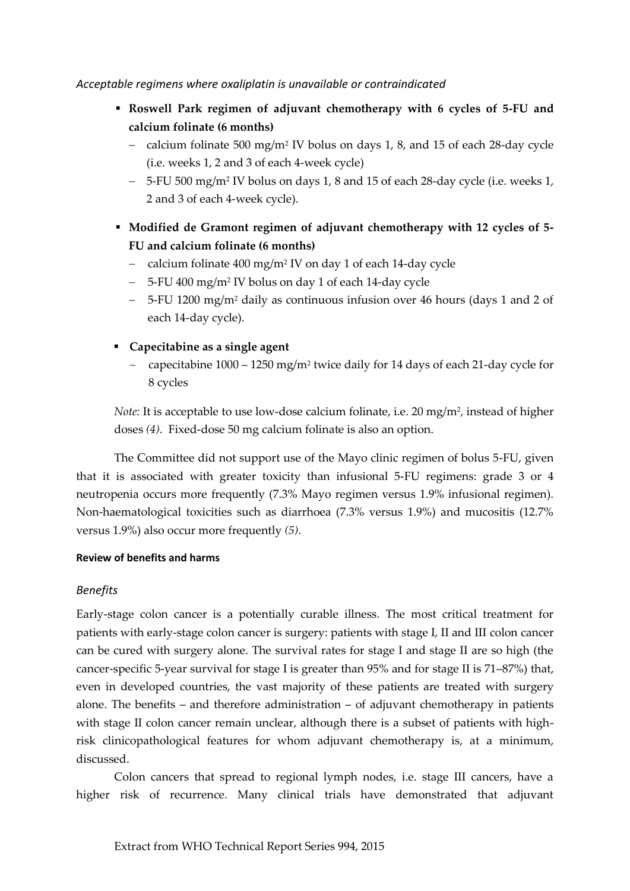## *Acceptable regimens where oxaliplatin is unavailable or contraindicated*

- **Roswell Park regimen of adjuvant chemotherapy with 6 cycles of 5-FU and calcium folinate (6 months)**
	- calcium folinate 500 mg/m<sup>2</sup> IV bolus on days 1, 8, and 15 of each 28-day cycle (i.e. weeks 1, 2 and 3 of each 4-week cycle)
	- 5-FU 500 mg/m<sup>2</sup> IV bolus on days 1, 8 and 15 of each 28-day cycle (i.e. weeks 1, 2 and 3 of each 4-week cycle).
- **Modified de Gramont regimen of adjuvant chemotherapy with 12 cycles of 5- FU and calcium folinate (6 months)**
	- calcium folinate 400 mg/m<sup>2</sup> IV on day 1 of each 14-day cycle
	- 5-FU 400 mg/m<sup>2</sup> IV bolus on day 1 of each 14-day cycle
	- 5-FU 1200 mg/m<sup>2</sup> daily as continuous infusion over 46 hours (days 1 and 2 of each 14-day cycle).
- **Capecitabine as a single agent**
	- capecitabine  $1000 1250$  mg/m<sup>2</sup> twice daily for 14 days of each 21-day cycle for 8 cycles

*Note:* It is acceptable to use low-dose calcium folinate, i.e. 20 mg/m<sup>2</sup> , instead of higher doses *(4)*. Fixed-dose 50 mg calcium folinate is also an option.

The Committee did not support use of the Mayo clinic regimen of bolus 5-FU, given that it is associated with greater toxicity than infusional 5-FU regimens: grade 3 or 4 neutropenia occurs more frequently (7.3% Mayo regimen versus 1.9% infusional regimen). Non-haematological toxicities such as diarrhoea (7.3% versus 1.9%) and mucositis (12.7% versus 1.9%) also occur more frequently *(5)*.

## **Review of benefits and harms**

## *Benefits*

Early-stage colon cancer is a potentially curable illness. The most critical treatment for patients with early-stage colon cancer is surgery: patients with stage I, II and III colon cancer can be cured with surgery alone. The survival rates for stage I and stage II are so high (the cancer-specific 5-year survival for stage I is greater than 95% and for stage II is 71–87%) that, even in developed countries, the vast majority of these patients are treated with surgery alone. The benefits – and therefore administration – of adjuvant chemotherapy in patients with stage II colon cancer remain unclear, although there is a subset of patients with highrisk clinicopathological features for whom adjuvant chemotherapy is, at a minimum, discussed.

Colon cancers that spread to regional lymph nodes, i.e. stage III cancers, have a higher risk of recurrence. Many clinical trials have demonstrated that adjuvant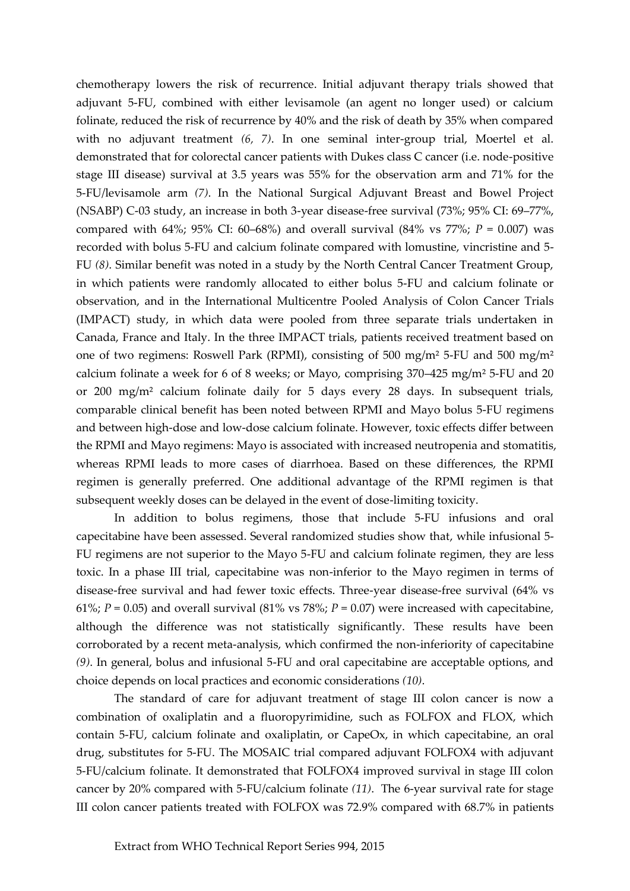chemotherapy lowers the risk of recurrence. Initial adjuvant therapy trials showed that adjuvant 5-FU, combined with either levisamole (an agent no longer used) or calcium folinate, reduced the risk of recurrence by 40% and the risk of death by 35% when compared with no adjuvant treatment *(6, 7)*. In one seminal inter-group trial, Moertel et al. demonstrated that for colorectal cancer patients with Dukes class C cancer (i.e. node-positive stage III disease) survival at 3.5 years was 55% for the observation arm and 71% for the 5-FU/levisamole arm *(7)*. In the National Surgical Adjuvant Breast and Bowel Project (NSABP) C-03 study, an increase in both 3-year disease-free survival (73%; 95% CI: 69–77%, compared with 64%; 95% CI: 60–68%) and overall survival (84% vs 77%; *P* = 0.007) was recorded with bolus 5-FU and calcium folinate compared with lomustine, vincristine and 5- FU *(8)*. Similar benefit was noted in a study by the North Central Cancer Treatment Group, in which patients were randomly allocated to either bolus 5-FU and calcium folinate or observation, and in the International Multicentre Pooled Analysis of Colon Cancer Trials (IMPACT) study, in which data were pooled from three separate trials undertaken in Canada, France and Italy. In the three IMPACT trials, patients received treatment based on one of two regimens: Roswell Park (RPMI), consisting of 500 mg/m² 5-FU and 500 mg/m² calcium folinate a week for 6 of 8 weeks; or Mayo, comprising  $370-425$  mg/m<sup>2</sup> 5-FU and 20 or 200 mg/m² calcium folinate daily for 5 days every 28 days. In subsequent trials, comparable clinical benefit has been noted between RPMI and Mayo bolus 5-FU regimens and between high-dose and low-dose calcium folinate. However, toxic effects differ between the RPMI and Mayo regimens: Mayo is associated with increased neutropenia and stomatitis, whereas RPMI leads to more cases of diarrhoea. Based on these differences, the RPMI regimen is generally preferred. One additional advantage of the RPMI regimen is that subsequent weekly doses can be delayed in the event of dose-limiting toxicity.

In addition to bolus regimens, those that include 5-FU infusions and oral capecitabine have been assessed. Several randomized studies show that, while infusional 5- FU regimens are not superior to the Mayo 5-FU and calcium folinate regimen, they are less toxic. In a phase III trial, capecitabine was non-inferior to the Mayo regimen in terms of disease-free survival and had fewer toxic effects. Three-year disease-free survival (64% vs 61%;  $P = 0.05$ ) and overall survival (81% vs 78%;  $P = 0.07$ ) were increased with capecitabine, although the difference was not statistically significantly. These results have been corroborated by a recent meta-analysis, which confirmed the non-inferiority of capecitabine *(9)*. In general, bolus and infusional 5-FU and oral capecitabine are acceptable options, and choice depends on local practices and economic considerations *(10)*.

The standard of care for adjuvant treatment of stage III colon cancer is now a combination of oxaliplatin and a fluoropyrimidine, such as FOLFOX and FLOX, which contain 5-FU, calcium folinate and oxaliplatin, or CapeOx, in which capecitabine, an oral drug, substitutes for 5-FU. The MOSAIC trial compared adjuvant FOLFOX4 with adjuvant 5-FU/calcium folinate. It demonstrated that FOLFOX4 improved survival in stage III colon cancer by 20% compared with 5-FU/calcium folinate *(11)*. The 6-year survival rate for stage III colon cancer patients treated with FOLFOX was 72.9% compared with 68.7% in patients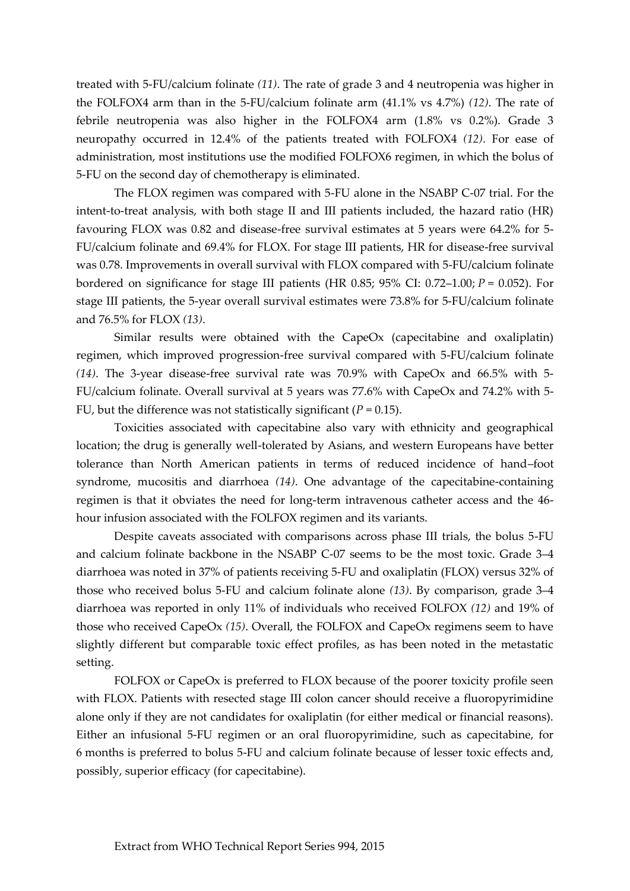treated with 5-FU/calcium folinate *(11)*. The rate of grade 3 and 4 neutropenia was higher in the FOLFOX4 arm than in the 5-FU/calcium folinate arm (41.1% vs 4.7%) *(12)*. The rate of febrile neutropenia was also higher in the FOLFOX4 arm (1.8% vs 0.2%). Grade 3 neuropathy occurred in 12.4% of the patients treated with FOLFOX4 *(12)*. For ease of administration, most institutions use the modified FOLFOX6 regimen, in which the bolus of 5-FU on the second day of chemotherapy is eliminated.

The FLOX regimen was compared with 5-FU alone in the NSABP C-07 trial. For the intent-to-treat analysis, with both stage II and III patients included, the hazard ratio (HR) favouring FLOX was 0.82 and disease-free survival estimates at 5 years were 64.2% for 5- FU/calcium folinate and 69.4% for FLOX. For stage III patients, HR for disease-free survival was 0.78. Improvements in overall survival with FLOX compared with 5-FU/calcium folinate bordered on significance for stage III patients (HR 0.85; 95% CI: 0.72–1.00; *P* = 0.052). For stage III patients, the 5-year overall survival estimates were 73.8% for 5-FU/calcium folinate and 76.5% for FLOX *(13)*.

Similar results were obtained with the CapeOx (capecitabine and oxaliplatin) regimen, which improved progression-free survival compared with 5-FU/calcium folinate *(14)*. The 3-year disease-free survival rate was 70.9% with CapeOx and 66.5% with 5- FU/calcium folinate. Overall survival at 5 years was 77.6% with CapeOx and 74.2% with 5- FU, but the difference was not statistically significant  $(P = 0.15)$ .

Toxicities associated with capecitabine also vary with ethnicity and geographical location; the drug is generally well-tolerated by Asians, and western Europeans have better tolerance than North American patients in terms of reduced incidence of hand–foot syndrome, mucositis and diarrhoea *(14)*. One advantage of the capecitabine-containing regimen is that it obviates the need for long-term intravenous catheter access and the 46 hour infusion associated with the FOLFOX regimen and its variants.

Despite caveats associated with comparisons across phase III trials, the bolus 5-FU and calcium folinate backbone in the NSABP C-07 seems to be the most toxic. Grade 3–4 diarrhoea was noted in 37% of patients receiving 5-FU and oxaliplatin (FLOX) versus 32% of those who received bolus 5-FU and calcium folinate alone *(13)*. By comparison, grade 3–4 diarrhoea was reported in only 11% of individuals who received FOLFOX *(12)* and 19% of those who received CapeOx *(15)*. Overall, the FOLFOX and CapeOx regimens seem to have slightly different but comparable toxic effect profiles, as has been noted in the metastatic setting.

FOLFOX or CapeOx is preferred to FLOX because of the poorer toxicity profile seen with FLOX. Patients with resected stage III colon cancer should receive a fluoropyrimidine alone only if they are not candidates for oxaliplatin (for either medical or financial reasons). Either an infusional 5-FU regimen or an oral fluoropyrimidine, such as capecitabine, for 6 months is preferred to bolus 5-FU and calcium folinate because of lesser toxic effects and, possibly, superior efficacy (for capecitabine).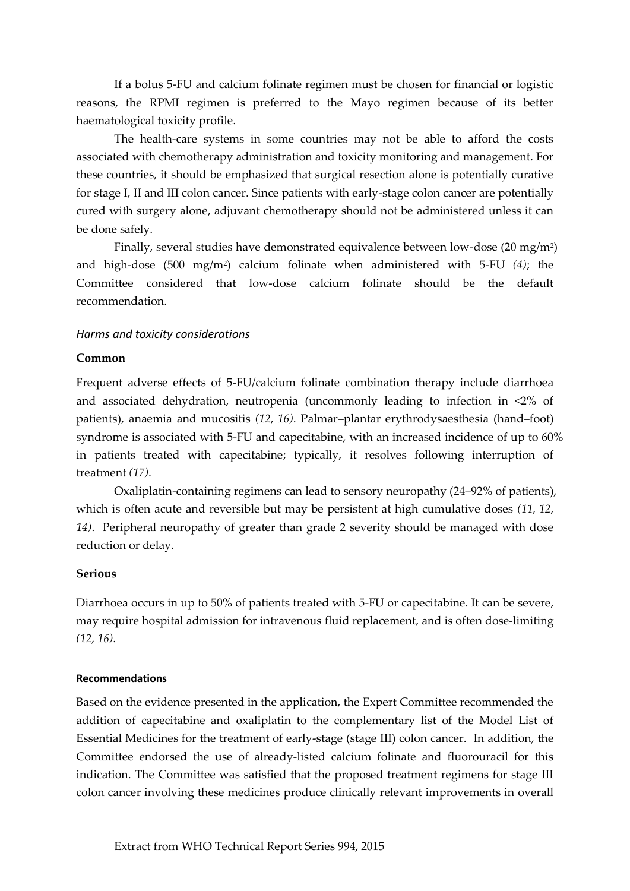If a bolus 5-FU and calcium folinate regimen must be chosen for financial or logistic reasons, the RPMI regimen is preferred to the Mayo regimen because of its better haematological toxicity profile.

The health-care systems in some countries may not be able to afford the costs associated with chemotherapy administration and toxicity monitoring and management. For these countries, it should be emphasized that surgical resection alone is potentially curative for stage I, II and III colon cancer. Since patients with early-stage colon cancer are potentially cured with surgery alone, adjuvant chemotherapy should not be administered unless it can be done safely.

Finally, several studies have demonstrated equivalence between low-dose (20 mg/m<sup>2</sup> ) and high-dose (500 mg/m<sup>2</sup> ) calcium folinate when administered with 5-FU *(4)*; the Committee considered that low-dose calcium folinate should be the default recommendation.

### *Harms and toxicity considerations*

### **Common**

Frequent adverse effects of 5-FU/calcium folinate combination therapy include diarrhoea and associated dehydration, neutropenia (uncommonly leading to infection in <2% of patients), anaemia and mucositis *(12, 16)*. Palmar–plantar erythrodysaesthesia (hand–foot) syndrome is associated with 5-FU and capecitabine, with an increased incidence of up to 60% in patients treated with capecitabine; typically, it resolves following interruption of treatment *(17)*.

Oxaliplatin-containing regimens can lead to sensory neuropathy (24–92% of patients), which is often acute and reversible but may be persistent at high cumulative doses *(11, 12, 14)*. Peripheral neuropathy of greater than grade 2 severity should be managed with dose reduction or delay.

### **Serious**

Diarrhoea occurs in up to 50% of patients treated with 5-FU or capecitabine. It can be severe, may require hospital admission for intravenous fluid replacement, and is often dose-limiting *(12, 16).*

### **Recommendations**

Based on the evidence presented in the application, the Expert Committee recommended the addition of capecitabine and oxaliplatin to the complementary list of the Model List of Essential Medicines for the treatment of early-stage (stage III) colon cancer. In addition, the Committee endorsed the use of already-listed calcium folinate and fluorouracil for this indication. The Committee was satisfied that the proposed treatment regimens for stage III colon cancer involving these medicines produce clinically relevant improvements in overall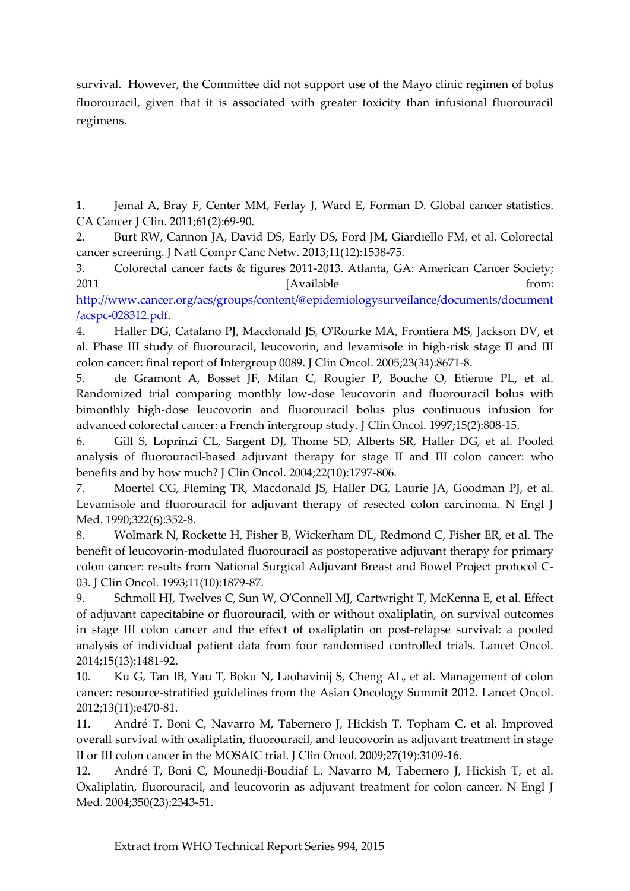survival. However, the Committee did not support use of the Mayo clinic regimen of bolus fluorouracil, given that it is associated with greater toxicity than infusional fluorouracil regimens.

1. Jemal A, Bray F, Center MM, Ferlay J, Ward E, Forman D. Global cancer statistics. CA Cancer J Clin. 2011;61(2):69-90.

2. Burt RW, Cannon JA, David DS, Early DS, Ford JM, Giardiello FM, et al. Colorectal cancer screening. J Natl Compr Canc Netw. 2013;11(12):1538-75.

3. Colorectal cancer facts & figures 2011-2013. Atlanta, GA: American Cancer Society; 2011 **Example 18 ISO Except** [Available from: [http://www.cancer.org/acs/groups/content/@epidemiologysurveilance/documents/document](http://www.cancer.org/acs/groups/content/@epidemiologysurveilance/documents/document/acspc-028312.pdf)

[/acspc-028312.pdf.](http://www.cancer.org/acs/groups/content/@epidemiologysurveilance/documents/document/acspc-028312.pdf)

4. Haller DG, Catalano PJ, Macdonald JS, O'Rourke MA, Frontiera MS, Jackson DV, et al. Phase III study of fluorouracil, leucovorin, and levamisole in high-risk stage II and III colon cancer: final report of Intergroup 0089. J Clin Oncol. 2005;23(34):8671-8.

5. de Gramont A, Bosset JF, Milan C, Rougier P, Bouche O, Etienne PL, et al. Randomized trial comparing monthly low-dose leucovorin and fluorouracil bolus with bimonthly high-dose leucovorin and fluorouracil bolus plus continuous infusion for advanced colorectal cancer: a French intergroup study. J Clin Oncol. 1997;15(2):808-15.

6. Gill S, Loprinzi CL, Sargent DJ, Thome SD, Alberts SR, Haller DG, et al. Pooled analysis of fluorouracil-based adjuvant therapy for stage II and III colon cancer: who benefits and by how much? J Clin Oncol. 2004;22(10):1797-806.

7. Moertel CG, Fleming TR, Macdonald JS, Haller DG, Laurie JA, Goodman PJ, et al. Levamisole and fluorouracil for adjuvant therapy of resected colon carcinoma. N Engl J Med. 1990;322(6):352-8.

8. Wolmark N, Rockette H, Fisher B, Wickerham DL, Redmond C, Fisher ER, et al. The benefit of leucovorin-modulated fluorouracil as postoperative adjuvant therapy for primary colon cancer: results from National Surgical Adjuvant Breast and Bowel Project protocol C-03. J Clin Oncol. 1993;11(10):1879-87.

9. Schmoll HJ, Twelves C, Sun W, O'Connell MJ, Cartwright T, McKenna E, et al. Effect of adjuvant capecitabine or fluorouracil, with or without oxaliplatin, on survival outcomes in stage III colon cancer and the effect of oxaliplatin on post-relapse survival: a pooled analysis of individual patient data from four randomised controlled trials. Lancet Oncol. 2014;15(13):1481-92.

10. Ku G, Tan IB, Yau T, Boku N, Laohavinij S, Cheng AL, et al. Management of colon cancer: resource-stratified guidelines from the Asian Oncology Summit 2012. Lancet Oncol. 2012;13(11):e470-81.

11. André T, Boni C, Navarro M, Tabernero J, Hickish T, Topham C, et al. Improved overall survival with oxaliplatin, fluorouracil, and leucovorin as adjuvant treatment in stage II or III colon cancer in the MOSAIC trial. J Clin Oncol. 2009;27(19):3109-16.

12. André T, Boni C, Mounedji-Boudiaf L, Navarro M, Tabernero J, Hickish T, et al. Oxaliplatin, fluorouracil, and leucovorin as adjuvant treatment for colon cancer. N Engl J Med. 2004;350(23):2343-51.